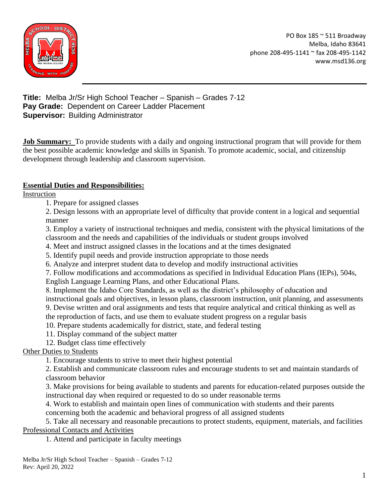

**Title:** Melba Jr/Sr High School Teacher – Spanish – Grades 7-12 **Pay Grade:** Dependent on Career Ladder Placement **Supervisor:** Building Administrator

**Job Summary:** To provide students with a daily and ongoing instructional program that will provide for them the best possible academic knowledge and skills in Spanish. To promote academic, social, and citizenship development through leadership and classroom supervision.

#### **Essential Duties and Responsibilities:**

Instruction

1. Prepare for assigned classes

2. Design lessons with an appropriate level of difficulty that provide content in a logical and sequential manner

3. Employ a variety of instructional techniques and media, consistent with the physical limitations of the classroom and the needs and capabilities of the individuals or student groups involved

- 4. Meet and instruct assigned classes in the locations and at the times designated
- 5. Identify pupil needs and provide instruction appropriate to those needs
- 6. Analyze and interpret student data to develop and modify instructional activities
- 7. Follow modifications and accommodations as specified in Individual Education Plans (IEPs), 504s, English Language Learning Plans, and other Educational Plans.

8. Implement the Idaho Core Standards, as well as the district's philosophy of education and

instructional goals and objectives, in lesson plans, classroom instruction, unit planning, and assessments 9. Devise written and oral assignments and tests that require analytical and critical thinking as well as

the reproduction of facts, and use them to evaluate student progress on a regular basis

10. Prepare students academically for district, state, and federal testing

- 11. Display command of the subject matter
- 12. Budget class time effectively

Other Duties to Students

1. Encourage students to strive to meet their highest potential

2. Establish and communicate classroom rules and encourage students to set and maintain standards of classroom behavior

3. Make provisions for being available to students and parents for education-related purposes outside the instructional day when required or requested to do so under reasonable terms

4. Work to establish and maintain open lines of communication with students and their parents concerning both the academic and behavioral progress of all assigned students

5. Take all necessary and reasonable precautions to protect students, equipment, materials, and facilities Professional Contacts and Activities

1. Attend and participate in faculty meetings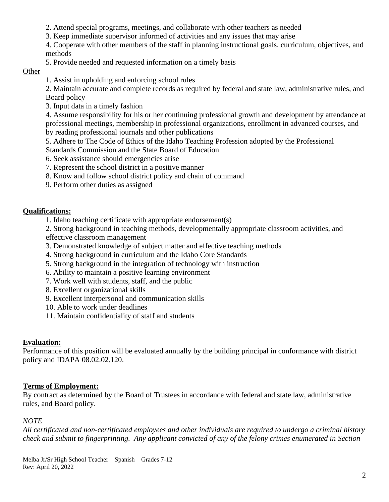- 2. Attend special programs, meetings, and collaborate with other teachers as needed
- 3. Keep immediate supervisor informed of activities and any issues that may arise
- 4. Cooperate with other members of the staff in planning instructional goals, curriculum, objectives, and methods
- 5. Provide needed and requested information on a timely basis

#### **Other**

1. Assist in upholding and enforcing school rules

2. Maintain accurate and complete records as required by federal and state law, administrative rules, and Board policy

3. Input data in a timely fashion

4. Assume responsibility for his or her continuing professional growth and development by attendance at professional meetings, membership in professional organizations, enrollment in advanced courses, and by reading professional journals and other publications

- 5. Adhere to The Code of Ethics of the Idaho Teaching Profession adopted by the Professional Standards Commission and the State Board of Education
- 6. Seek assistance should emergencies arise
- 7. Represent the school district in a positive manner
- 8. Know and follow school district policy and chain of command
- 9. Perform other duties as assigned

# **Qualifications:**

1. Idaho teaching certificate with appropriate endorsement(s)

2. Strong background in teaching methods, developmentally appropriate classroom activities, and effective classroom management

- 3. Demonstrated knowledge of subject matter and effective teaching methods
- 4. Strong background in curriculum and the Idaho Core Standards
- 5. Strong background in the integration of technology with instruction
- 6. Ability to maintain a positive learning environment
- 7. Work well with students, staff, and the public
- 8. Excellent organizational skills
- 9. Excellent interpersonal and communication skills
- 10. Able to work under deadlines
- 11. Maintain confidentiality of staff and students

## **Evaluation:**

Performance of this position will be evaluated annually by the building principal in conformance with district policy and IDAPA 08.02.02.120.

## **Terms of Employment:**

By contract as determined by the Board of Trustees in accordance with federal and state law, administrative rules, and Board policy.

## *NOTE*

*All certificated and non-certificated employees and other individuals are required to undergo a criminal history check and submit to fingerprinting. Any applicant convicted of any of the felony crimes enumerated in Section*